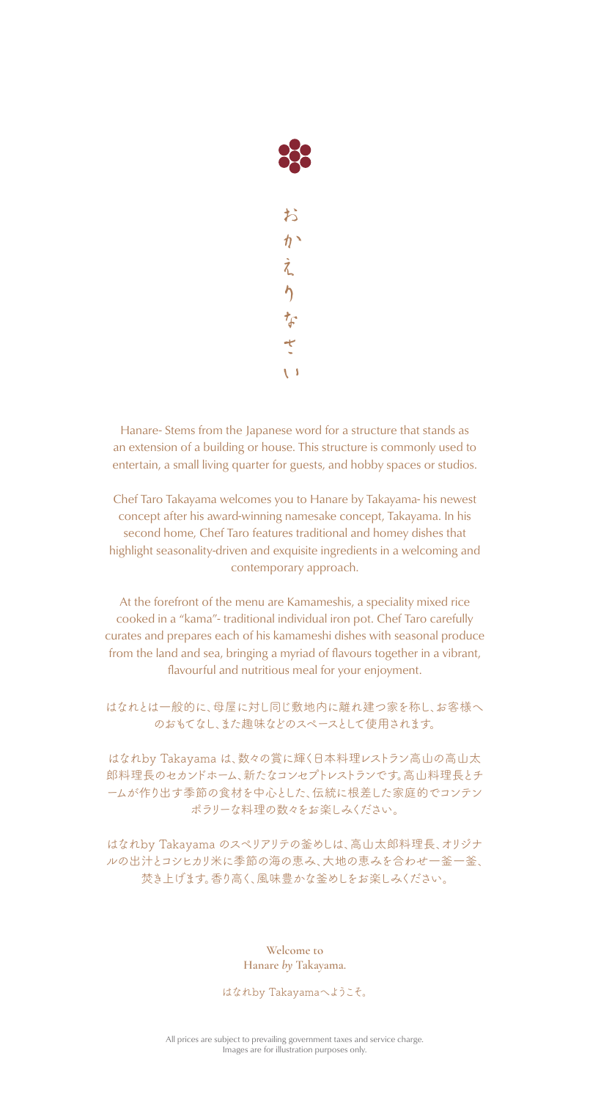

Hanare- Stems from the Japanese word for a structure that stands as an extension of a building or house. This structure is commonly used to entertain, a small living quarter for guests, and hobby spaces or studios.

Chef Taro Takayama welcomes you to Hanare by Takayama- his newest concept after his award-winning namesake concept, Takayama. In his second home, Chef Taro features traditional and homey dishes that highlight seasonality-driven and exquisite ingredients in a welcoming and contemporary approach.

At the forefront of the menu are Kamameshis, a speciality mixed rice cooked in a "kama"- traditional individual iron pot. Chef Taro carefully curates and prepares each of his kamameshi dishes with seasonal produce from the land and sea, bringing a myriad of flavours together in a vibrant, flavourful and nutritious meal for your enjoyment.

はなれとは一般的に、母屋に対し同じ敷地内に離れ建つ家を称し、お客様へ のおもてなし、また趣味などのスペースとして使用されます。

はなれby Takayama は、数々の賞に輝く日本料理レストラン高山の高山太 郎料理長のセカンドホーム、新たなコンセプトレストランです。高山料理長とチ ームが作り出す季節の食材を中心とした、伝統に根差した家庭的でコンテン ポラリーな料理の数々をお楽しみください。

はなれby Takayama のスぺリアリテの釜めしは、高山太郎料理長、オリジナ ルの出汁とコシヒカリ米に季節の海の恵み、大地の恵みを合わせ一釜一釜、 焚き上げます。香り高く、風味豊かな釜めしをお楽しみください。

> **Welcome to Hanare** *by* **Takayama.**

はなれby Takayamaへようこそ。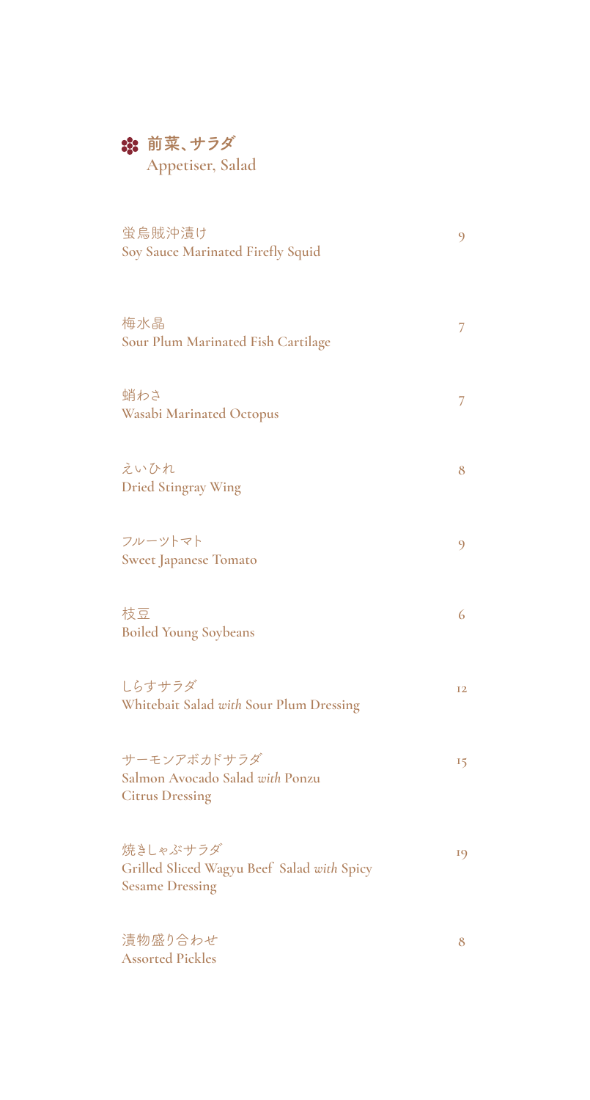## **第 前菜、サラダ**

**Appetiser, Salad**

| 蛍烏賊沖漬け<br>Soy Sauce Marinated Firefly Squid                                      | 9         |
|----------------------------------------------------------------------------------|-----------|
| 梅水晶<br>Sour Plum Marinated Fish Cartilage                                        | 7         |
| 蛸わさ<br><b>Wasabi Marinated Octopus</b>                                           | 7         |
| えいひれ<br><b>Dried Stingray Wing</b>                                               | 8         |
| フルーツトマト<br><b>Sweet Japanese Tomato</b>                                          | 9         |
| 枝豆<br><b>Boiled Young Soybeans</b>                                               | 6         |
| しらすサラダ<br>Whitebait Salad with Sour Plum Dressing                                | <b>I2</b> |
| サーモンアボカドサラダ<br>Salmon Avocado Salad with Ponzu<br><b>Citrus Dressing</b>         | 15        |
| 焼きしゃぶサラダ<br>Grilled Sliced Wagyu Beef Salad with Spicy<br><b>Sesame Dressing</b> | 19        |
| 漬物盛り合わせ<br><b>Assorted Pickles</b>                                               | 8         |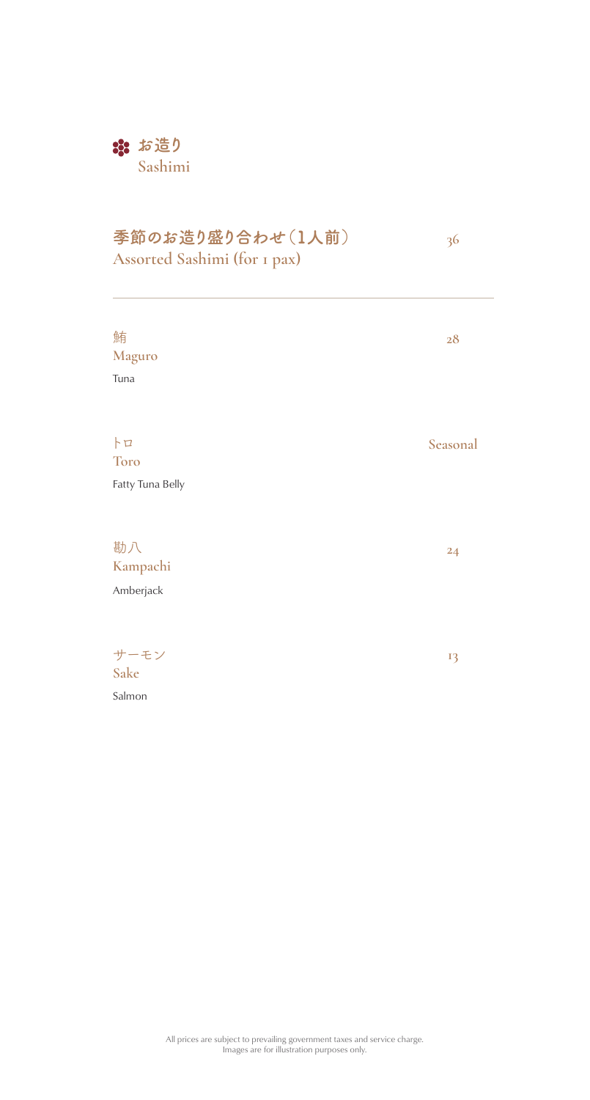### **なお造り Sashimi**

## **季節のお造り盛り合わせ(1人前)**

**36**

| Assorted Sashimi (for 1 pax)         | ╯        |
|--------------------------------------|----------|
| 鮪<br>Maguro<br>Tuna                  | 28       |
| h<br><b>Toro</b><br>Fatty Tuna Belly | Seasonal |
| 勘八<br>Kampachi<br>Amberjack          | 24       |
| サーモン<br>Sake<br>Salmon               | 13       |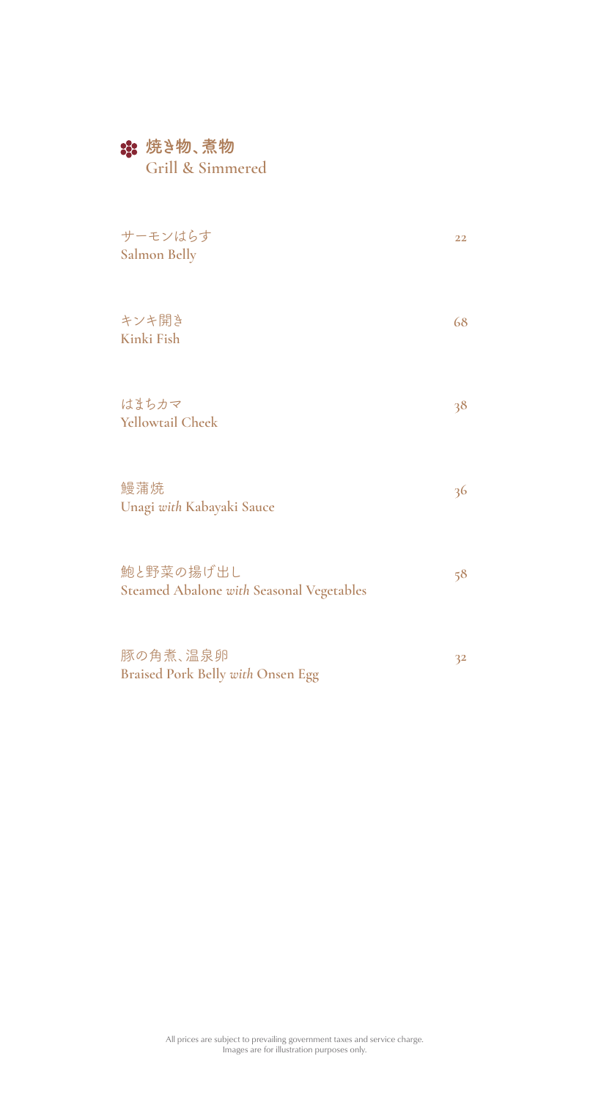#### **焼き物、煮物**

**Grill & Simmered**

| サーモンはらす<br>Salmon Belly                                      | 22 |
|--------------------------------------------------------------|----|
| キンキ開き<br>Kinki Fish                                          | 68 |
| はまちカマ<br><b>Yellowtail Cheek</b>                             | 38 |
| 鰻蒲焼<br>Unagi with Kabayaki Sauce                             | 36 |
| 鮑と野菜の揚げ出し<br><b>Steamed Abalone with Seasonal Vegetables</b> | 58 |
| 豚の角煮、温泉卵<br><b>Braised Pork Belly with Onsen Egg</b>         | 32 |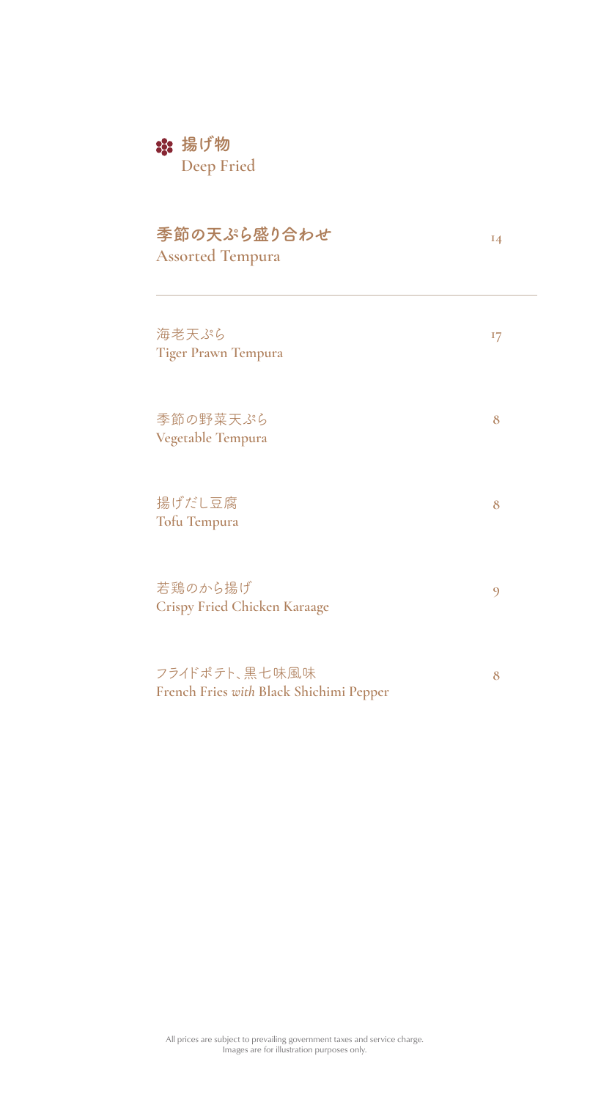# **揚げ物**

**Deep Fried**

| 季節の天ぷら盛り合わせ<br><b>Assorted Tempura</b>                   | 14 |
|----------------------------------------------------------|----|
| 海老天ぷら<br><b>Tiger Prawn Tempura</b>                      | I7 |
| 季節の野菜天ぷら<br>Vegetable Tempura                            | 8  |
| 揚げだし豆腐<br>Tofu Tempura                                   | 8  |
| 若鶏のから揚げ<br><b>Crispy Fried Chicken Karaage</b>           | 9  |
| フライドポテト、黒七味風味<br>French Fries with Black Shichimi Pepper | 8  |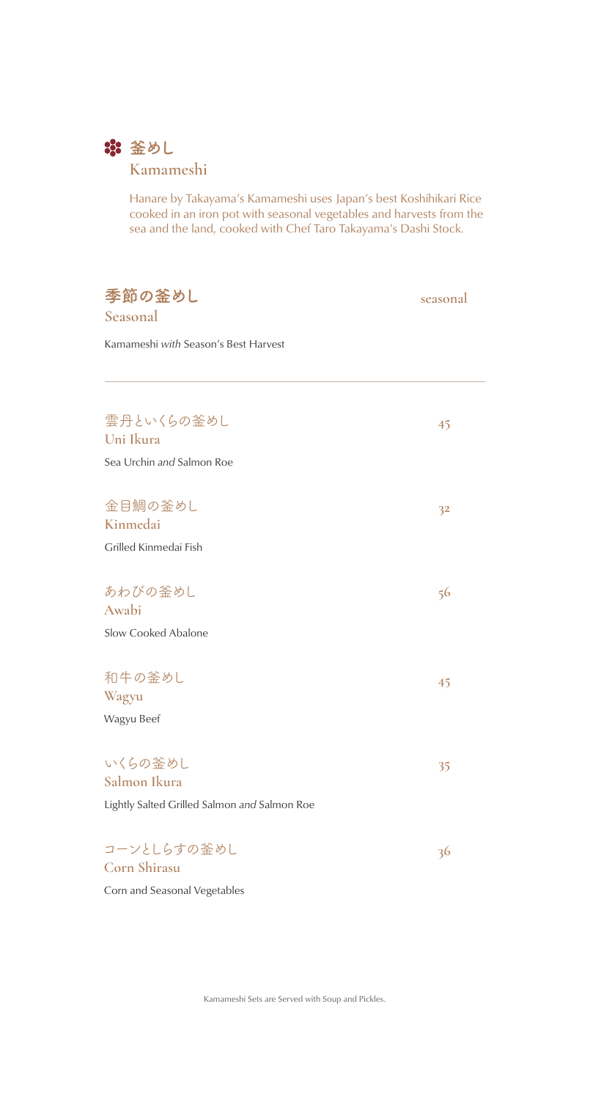

### **Kamameshi**

Hanare by Takayama's Kamameshi uses Japan's best Koshihikari Rice cooked in an iron pot with seasonal vegetables and harvests from the sea and the land, cooked with Chef Taro Takayama's Dashi Stock.

| 季節の釜めし                                       | seasonal |
|----------------------------------------------|----------|
| Seasonal                                     |          |
| Kamameshi with Season's Best Harvest         |          |
|                                              |          |
| 雲丹といくらの釜めし                                   | 45       |
| Uni Ikura                                    |          |
| Sea Urchin and Salmon Roe                    |          |
| 金目鯛の釜めし                                      | 32       |
| Kinmedai                                     |          |
| Grilled Kinmedai Fish                        |          |
| あわびの釜めし                                      | 56       |
| Awabi                                        |          |
| Slow Cooked Abalone                          |          |
| 和牛の釜めし                                       | 45       |
| Wagyu                                        |          |
| Wagyu Beef                                   |          |
| いくらの釜めし                                      | 35       |
| Salmon Ikura                                 |          |
| Lightly Salted Grilled Salmon and Salmon Roe |          |
| コーンとしらすの釜めし                                  | 36       |
|                                              |          |

**Corn Shirasu** Corn and Seasonal Vegetables

Kamameshi Sets are Served with Soup and Pickles.